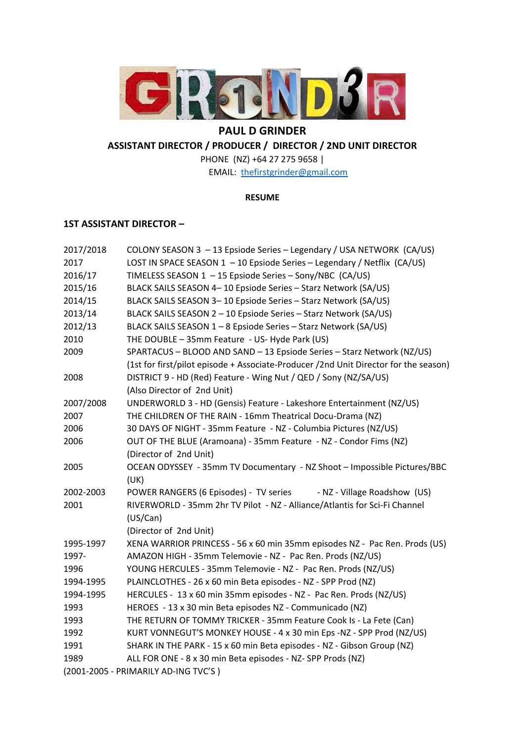

# **PAUL D GRINDER**

**ASSISTANT DIRECTOR / PRODUCER / DIRECTOR / 2ND UNIT DIRECTOR** 

PHONE (NZ) +64 27 275 9658 | EMAIL: thefirstgrinder@gmail.com

## **RESUME**

# **1ST ASSISTANT DIRECTOR –**

| 2017/2018                            | COLONY SEASON 3 - 13 Epsiode Series - Legendary / USA NETWORK (CA/US)                |
|--------------------------------------|--------------------------------------------------------------------------------------|
| 2017                                 | LOST IN SPACE SEASON 1 - 10 Epsiode Series - Legendary / Netflix (CA/US)             |
| 2016/17                              | TIMELESS SEASON 1 - 15 Epsiode Series - Sony/NBC (CA/US)                             |
| 2015/16                              | BLACK SAILS SEASON 4-10 Epsiode Series - Starz Network (SA/US)                       |
| 2014/15                              | BLACK SAILS SEASON 3-10 Epsiode Series - Starz Network (SA/US)                       |
| 2013/14                              | BLACK SAILS SEASON 2 - 10 Epsiode Series - Starz Network (SA/US)                     |
| 2012/13                              | BLACK SAILS SEASON 1-8 Epsiode Series - Starz Network (SA/US)                        |
| 2010                                 | THE DOUBLE - 35mm Feature - US- Hyde Park (US)                                       |
| 2009                                 | SPARTACUS - BLOOD AND SAND - 13 Epsiode Series - Starz Network (NZ/US)               |
|                                      | (1st for first/pilot episode + Associate-Producer /2nd Unit Director for the season) |
| 2008                                 | DISTRICT 9 - HD (Red) Feature - Wing Nut / QED / Sony (NZ/SA/US)                     |
|                                      | (Also Director of 2nd Unit)                                                          |
| 2007/2008                            | UNDERWORLD 3 - HD (Gensis) Feature - Lakeshore Entertainment (NZ/US)                 |
| 2007                                 | THE CHILDREN OF THE RAIN - 16mm Theatrical Docu-Drama (NZ)                           |
| 2006                                 | 30 DAYS OF NIGHT - 35mm Feature - NZ - Columbia Pictures (NZ/US)                     |
| 2006                                 | OUT OF THE BLUE (Aramoana) - 35mm Feature - NZ - Condor Fims (NZ)                    |
|                                      | (Director of 2nd Unit)                                                               |
| 2005                                 | OCEAN ODYSSEY - 35mm TV Documentary - NZ Shoot - Impossible Pictures/BBC             |
|                                      | (UK)                                                                                 |
| 2002-2003                            | POWER RANGERS (6 Episodes) - TV series<br>- NZ - Village Roadshow (US)               |
| 2001                                 | RIVERWORLD - 35mm 2hr TV Pilot - NZ - Alliance/Atlantis for Sci-Fi Channel           |
|                                      | (US/Can)                                                                             |
|                                      | (Director of 2nd Unit)                                                               |
| 1995-1997                            | XENA WARRIOR PRINCESS - 56 x 60 min 35mm episodes NZ - Pac Ren. Prods (US)           |
| 1997-                                | AMAZON HIGH - 35mm Telemovie - NZ - Pac Ren. Prods (NZ/US)                           |
| 1996                                 | YOUNG HERCULES - 35mm Telemovie - NZ - Pac Ren. Prods (NZ/US)                        |
| 1994-1995                            | PLAINCLOTHES - 26 x 60 min Beta episodes - NZ - SPP Prod (NZ)                        |
| 1994-1995                            | HERCULES - 13 x 60 min 35mm episodes - NZ - Pac Ren. Prods (NZ/US)                   |
| 1993                                 | HEROES - 13 x 30 min Beta episodes NZ - Communicado (NZ)                             |
| 1993                                 | THE RETURN OF TOMMY TRICKER - 35mm Feature Cook Is - La Fete (Can)                   |
| 1992                                 | KURT VONNEGUT'S MONKEY HOUSE - 4 x 30 min Eps - NZ - SPP Prod (NZ/US)                |
| 1991                                 | SHARK IN THE PARK - 15 x 60 min Beta episodes - NZ - Gibson Group (NZ)               |
| 1989                                 | ALL FOR ONE - 8 x 30 min Beta episodes - NZ-SPP Prods (NZ)                           |
| (2001-2005 - PRIMARILY AD-ING TVC'S) |                                                                                      |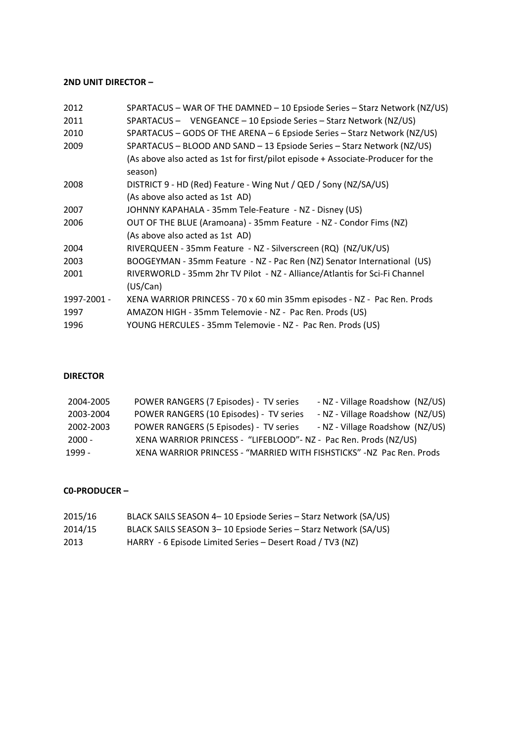# **2ND UNIT DIRECTOR –**

| 2012        | SPARTACUS - WAR OF THE DAMNED - 10 Epsiode Series - Starz Network (NZ/US)                   |
|-------------|---------------------------------------------------------------------------------------------|
| 2011        | SPARTACUS - VENGEANCE - 10 Epsiode Series - Starz Network (NZ/US)                           |
| 2010        | SPARTACUS - GODS OF THE ARENA - 6 Epsiode Series - Starz Network (NZ/US)                    |
| 2009        | SPARTACUS - BLOOD AND SAND - 13 Epsiode Series - Starz Network (NZ/US)                      |
|             | (As above also acted as 1st for first/pilot episode + Associate-Producer for the<br>season) |
| 2008        | DISTRICT 9 - HD (Red) Feature - Wing Nut / QED / Sony (NZ/SA/US)                            |
|             | (As above also acted as 1st AD)                                                             |
| 2007        | JOHNNY KAPAHALA - 35mm Tele-Feature - NZ - Disney (US)                                      |
| 2006        | OUT OF THE BLUE (Aramoana) - 35mm Feature - NZ - Condor Fims (NZ)                           |
|             | (As above also acted as 1st AD)                                                             |
| 2004        | RIVERQUEEN - 35mm Feature - NZ - Silverscreen (RQ) (NZ/UK/US)                               |
| 2003        | BOOGEYMAN - 35mm Feature - NZ - Pac Ren (NZ) Senator International (US)                     |
| 2001        | RIVERWORLD - 35mm 2hr TV Pilot - NZ - Alliance/Atlantis for Sci-Fi Channel                  |
|             | (US/Can)                                                                                    |
| 1997-2001 - | XENA WARRIOR PRINCESS - 70 x 60 min 35mm episodes - NZ - Pac Ren. Prods                     |
| 1997        | AMAZON HIGH - 35mm Telemovie - NZ - Pac Ren. Prods (US)                                     |
| 1996        | YOUNG HERCULES - 35mm Telemovie - NZ - Pac Ren. Prods (US)                                  |

# **DIRECTOR**

| 2004-2005 | POWER RANGERS (7 Episodes) - TV series                               | - NZ - Village Roadshow (NZ/US) |
|-----------|----------------------------------------------------------------------|---------------------------------|
| 2003-2004 | POWER RANGERS (10 Episodes) - TV series                              | - NZ - Village Roadshow (NZ/US) |
| 2002-2003 | POWER RANGERS (5 Episodes) - TV series                               | - NZ - Village Roadshow (NZ/US) |
| - 2000 -  | XENA WARRIOR PRINCESS - "LIFEBLOOD"- NZ - Pac Ren. Prods (NZ/US)     |                                 |
| 1999 -    | XENA WARRIOR PRINCESS - "MARRIED WITH FISHSTICKS" -NZ Pac Ren. Prods |                                 |

# **C0‐PRODUCER –**

| 2015/16 | BLACK SAILS SEASON 4-10 Epsiode Series - Starz Network (SA/US) |
|---------|----------------------------------------------------------------|
| 2014/15 | BLACK SAILS SEASON 3-10 Epsiode Series - Starz Network (SA/US) |
| 2013    | HARRY - 6 Episode Limited Series – Desert Road / TV3 (NZ)      |